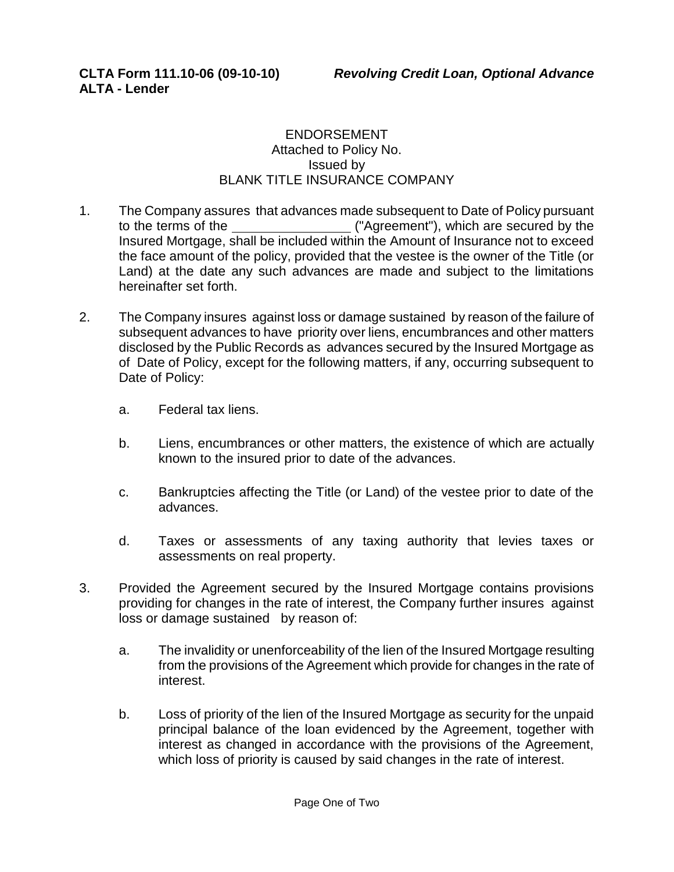## ENDORSEMENT Attached to Policy No. Issued by BLANK TITLE INSURANCE COMPANY

- 1. The Company assures that advances made subsequent to Date of Policy pursuant to the terms of the ("Agreement"), which are secured by the Insured Mortgage, shall be included within the Amount of Insurance not to exceed the face amount of the policy, provided that the vestee is the owner of the Title (or Land) at the date any such advances are made and subject to the limitations hereinafter set forth.
- 2. The Company insures against loss or damage sustained by reason of the failure of subsequent advances to have priority over liens, encumbrances and other matters disclosed by the Public Records as advances secured by the Insured Mortgage as of Date of Policy, except for the following matters, if any, occurring subsequent to Date of Policy:
	- a. Federal tax liens.
	- b. Liens, encumbrances or other matters, the existence of which are actually known to the insured prior to date of the advances.
	- c. Bankruptcies affecting the Title (or Land) of the vestee prior to date of the advances.
	- d. Taxes or assessments of any taxing authority that levies taxes or assessments on real property.
- 3. Provided the Agreement secured by the Insured Mortgage contains provisions providing for changes in the rate of interest, the Company further insures against loss or damage sustained by reason of:
	- a. The invalidity or unenforceability of the lien of the Insured Mortgage resulting from the provisions of the Agreement which provide for changes in the rate of interest.
	- b. Loss of priority of the lien of the Insured Mortgage as security for the unpaid principal balance of the loan evidenced by the Agreement, together with interest as changed in accordance with the provisions of the Agreement, which loss of priority is caused by said changes in the rate of interest.